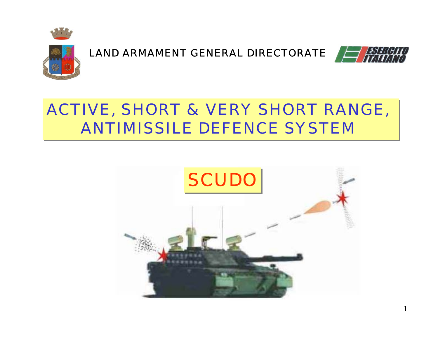



# ACTIVE, SHORT & VERY SHORT RANGE, ACTIVE, SHORT & VERY SHORT RANGE, **ANTIMISSILE DEFENCE SYSTEM**

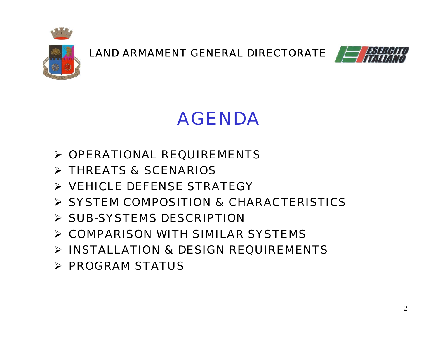



# AGENDA

- $\triangleright$  OPERATIONAL REQUIREMENTS
- THREATS & SCENARIOS
- VEHICLE DEFENSE STRATEGY
- SYSTEM COMPOSITION & CHARACTERISTICS
- $\triangleright$  SUB-SYSTEMS DESCRIPTION
- COMPARISON WITH SIMILAR SYSTEMS
- INSTALLATION & DESIGN REQUIREMENTS
- $\triangleright$  PROGRAM STATUS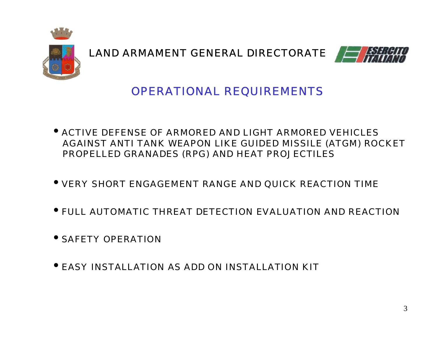



### *OPERATIONAL REQUIREMENTS*

- ACTIVE DEFENSE OF ARMORED AND LIGHT ARMORED VEHICLES AGAINST ANTI TANK WEAPON LIKE GUIDED MISSILE (ATGM) ROCKET PROPELLED GRANADES (RPG) AND HEAT PROJECTILES
- VERY SHORT ENGAGEMENT RANGE AND QUICK REACTION TIME
- FULL AUTOMATIC THREAT DETECTION EVALUATION AND REACTION
- SAFETY OPERATION
- EASY INSTALLATION AS ADD ON INSTALLATION KIT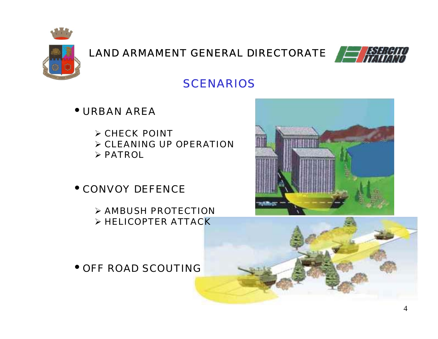



### *SCENARIOS*

- URBAN AREA
	- $\triangleright$  CHECK POINT  $\triangleright$  CLEANING UP OPERATION  $\triangleright$  PATROL
- CONVOY DEFENCE
	- $\triangleright$  AMBUSH PROTECTION  $\triangleright$  HELICOPTER ATTACK

• OFF ROAD SCOUTING



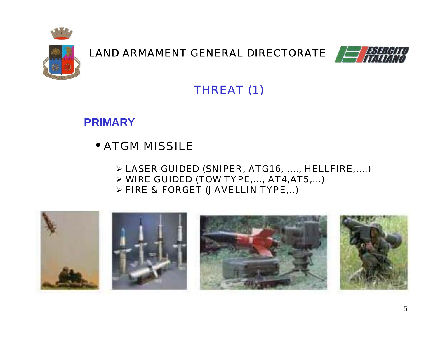



# *THREAT (1)*

### **PRIMARY**

# • ATGM MISSILE

- LASER GUIDED (SNIPER, ATG16, …., HELLFIRE,….)
- WIRE GUIDED (TOW TYPE,…, AT4,AT5,…)
- FIRE & FORGET (JAVELLIN TYPE,..)

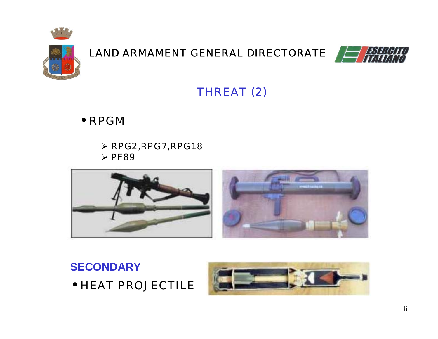



*THREAT (2)*

• RPGM

 $\triangleright$  RPG2, RPG7, RPG18  $\triangleright$  PF89





• HEAT PROJECTILE

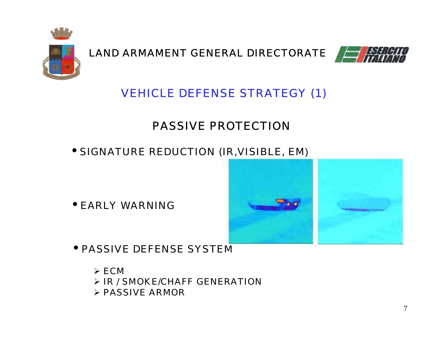



# *VEHICLE DEFENSE STRATEGY (1)*

# PASSIVE PROTECTION

• SIGNATURE REDUCTION (IR,VISIBLE, EM)

• EARLY WARNING



• PASSIVE DEFENSE SYSTEM

 $\triangleright$  ECM IR / SMOKE/CHAFF GENERATION $\triangleright$  PASSIVE ARMOR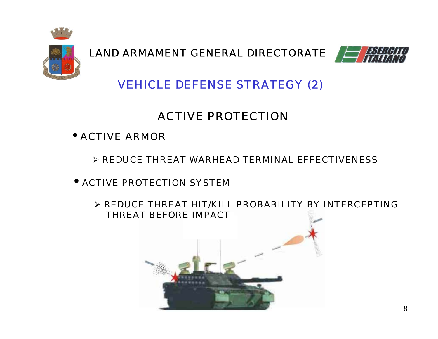



### *VEHICLE DEFENSE STRATEGY (2)*

# ACTIVE PROTECTION

- ACTIVE ARMOR
	- $\triangleright$  REDUCE THREAT WARHEAD TERMINAL EFFECTIVENESS
- • ACTIVE PROTECTION SYSTEM
	- $\triangleright$  REDUCE THREAT HIT/KILL PROBABILITY BY INTERCEPTING THREAT BEFORE IMPACT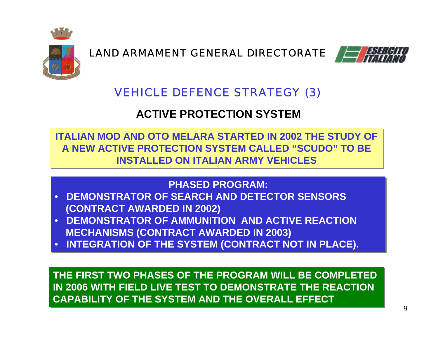



### *VEHICLE DEFENCE STRATEGY (3)*

### **ACTIVE PROTECTION SYSTEM**

**ITALIAN MOD AND OTO MELARA STARTED IN 2002 THE STUDY OFITALIAN MOD AND OTO MELARA STARTED IN 2002 THE STUDY OF A NEW ACTIVE PROTECTION SYSTEM CALLED "SCUDO" TO BEA NEW ACTIVE PROTECTION SYSTEM CALLED "SCUDO" TO BEINSTALLED ON ITALIAN ARMY VEHICLESINSTALLED ON ITALIAN ARMY VEHICLES**

#### **PHASED PROGRAM:PHASED PROGRAM:**

- • **DEMONSTRATOR OF SEARCH AND DETECTOR SENSORS**• **DEMONSTRATOR OF SEARCH AND DETECTOR SENSORS (CONTRACT AWARDED IN 2002) (CONTRACT AWARDED IN 2002)**
- • **DEMONSTRATOR OF AMMUNITION AND ACTIVE REACTION**• **DEMONSTRATOR OF AMMUNITION AND ACTIVE REACTION MECHANISMS (CONTRACT AWARDED IN 2003) MECHANISMS (CONTRACT AWARDED IN 2003)**
- • **INTEGRATION OF THE SYSTEM (CONTRACT NOT IN PLACE).** • **INTEGRATION OF THE SYSTEM (CONTRACT NOT IN PLACE).**

**THE FIRST TWO PHASES OF THE PROGRAM WILL BE COMPLETEDTHE FIRST TWO PHASES OF THE PROGRAM WILL BE COMPLETEDIN 2006 WITH FIELD LIVE TEST TO DEMONSTRATE THE REACTIONIN 2006 WITH FIELD LIVE TEST TO DEMONSTRATE THE REACTIONCAPABILITY OF THE SYSTEM AND THE OVERALL EFFECTCAPABILITY OF THE SYSTEM AND THE OVERALL EFFECT**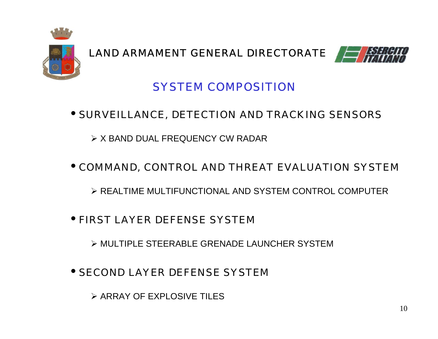



### *SYSTEM COMPOSITION*

#### • SURVEILLANCE, DETECTION AND TRACKING SENSORS

 $\triangleright$  X BAND DUAL FREQUENCY CW RADAR

#### • COMMAND, CONTROL AND THREAT EVALUATION SYSTEM

REALTIME MULTIFUNCTIONAL AND SYSTEM CONTROL COMPUTER

#### • FIRST LAYER DEFENSE SYSTEM

MULTIPLE STEERABLE GRENADE LAUNCHER SYSTEM

### • SECOND LAYER DEFENSE SYSTEM

 $\triangleright$  ARRAY OF FXPI OSIVE TILES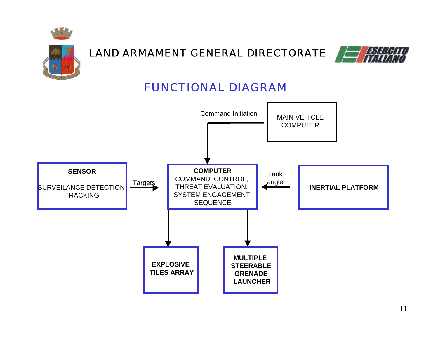



### *FUNCTIONAL DIAGRAM*

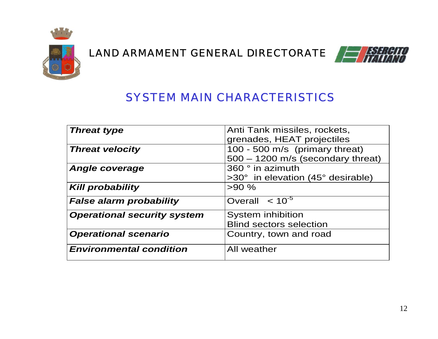



### *SYSTEM MAIN CHARACTERISTICS*

| <b>Threat type</b>                 | Anti Tank missiles, rockets,        |
|------------------------------------|-------------------------------------|
|                                    | grenades, HEAT projectiles          |
| <b>Threat velocity</b>             | 100 - 500 m/s (primary threat)      |
|                                    | $500 - 1200$ m/s (secondary threat) |
| <b>Angle coverage</b>              | 360 ° in azimuth                    |
|                                    | >30° in elevation (45° desirable)   |
| <b>Kill probability</b>            | >90%                                |
| <b>False alarm probability</b>     | Overall $< 10^{-5}$                 |
| <b>Operational security system</b> | System inhibition                   |
|                                    | <b>Blind sectors selection</b>      |
| <b>Operational scenario</b>        | Country, town and road              |
| <b>Environmental condition</b>     | All weather                         |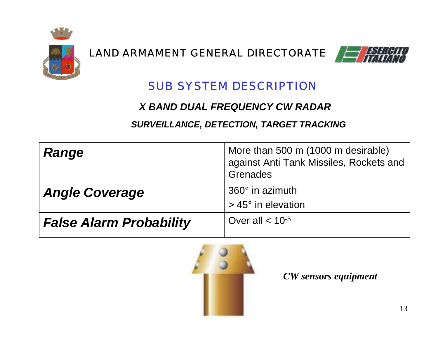



### *SUB SYSTEM DESCRIPTION*

#### *X BAND DUAL FREQUENCY CW RADAR*

#### *SURVEILLANCE, DETECTION, TARGET TRACKING*

| <b>Range</b>                   | More than 500 m (1000 m desirable)<br>against Anti Tank Missiles, Rockets and<br>Grenades |
|--------------------------------|-------------------------------------------------------------------------------------------|
| <b>Angle Coverage</b>          | 360° in azimuth<br>$>$ 45 $^{\circ}$ in elevation                                         |
| <b>False Alarm Probability</b> | Over all $< 10^{-5}$                                                                      |



*CW sensors equipment*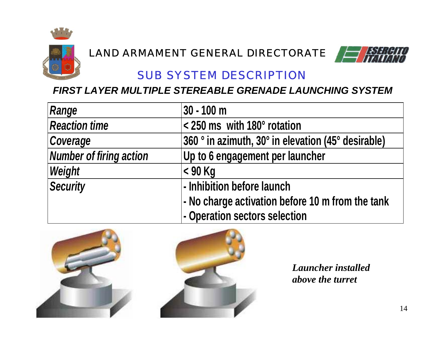



### *SUB SYSTEM DESCRIPTION*

#### *FIRST LAYER MULTIPLE STEREABLE GRENADE LAUNCHING SYSTEM*

| Range                          | $30 - 100$ m                                       |
|--------------------------------|----------------------------------------------------|
| <b>Reaction time</b>           | < 250 ms with 180° rotation                        |
| Coverage                       | 360 ° in azimuth, 30° in elevation (45° desirable) |
| <b>Number of firing action</b> | Up to 6 engagement per launcher                    |
| Weight                         | $<$ 90 Kg                                          |
| <b>Security</b>                | - Inhibition before launch                         |
|                                | - No charge activation before 10 m from the tank   |
|                                | - Operation sectors selection                      |



*Launcher installedabove the turret*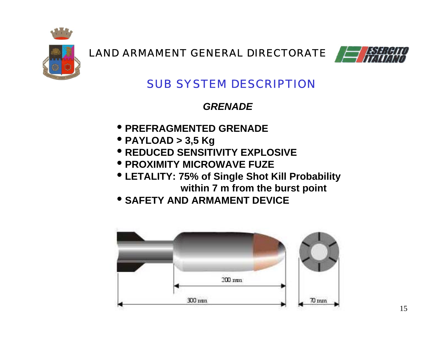



### *SUB SYSTEM DESCRIPTION*

*GRENADE*

- • **PREFRAGMENTED GRENADE**
- • **PAYLOAD > 3,5 Kg**
- • **REDUCED SENSITIVITY EXPLOSIVE**
- • **PROXIMITY MICROWAVE FUZE**
- • **LETALITY: 75% of Single Shot Kill Probability within 7 m from the burst point**
- • **SAFETY AND ARMAMENT DEVICE**

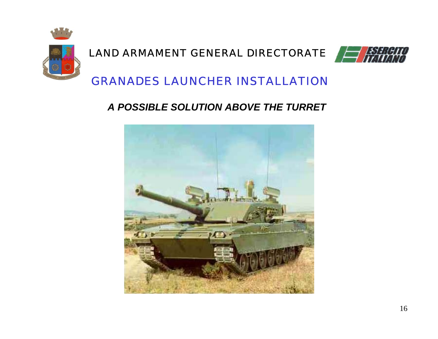



### *GRANADES LAUNCHER INSTALLATION*

#### *A POSSIBLE SOLUTION ABOVE THE TURRET*

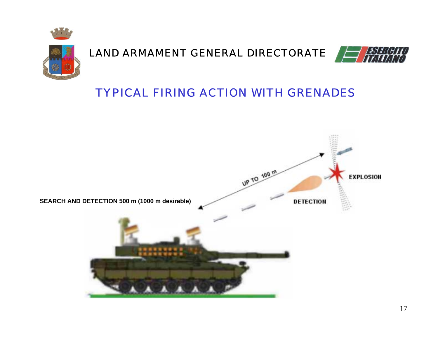



### *TYPICAL FIRING ACTION WITH GRENADES*

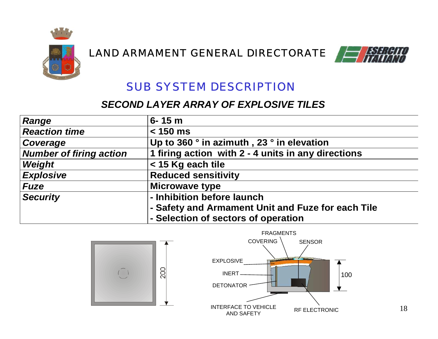



### *SUB SYSTEM DESCRIPTION*

#### *SECOND LAYER ARRAY OF EXPLOSIVE TILES*

| <b>Range</b>                   | $6 - 15 m$                                         |
|--------------------------------|----------------------------------------------------|
| <b>Reaction time</b>           | $< 150$ ms                                         |
| Coverage                       | Up to 360 ° in azimuth, 23 ° in elevation          |
| <b>Number of firing action</b> | 1 firing action with 2 - 4 units in any directions |
| Weight                         | < 15 Kg each tile                                  |
| <b>Explosive</b>               | <b>Reduced sensitivity</b>                         |
| <b>Fuze</b>                    | <b>Microwave type</b>                              |
| <b>Security</b>                | - Inhibition before launch                         |
|                                | - Safety and Armament Unit and Fuze for each Tile  |
|                                | - Selection of sectors of operation                |



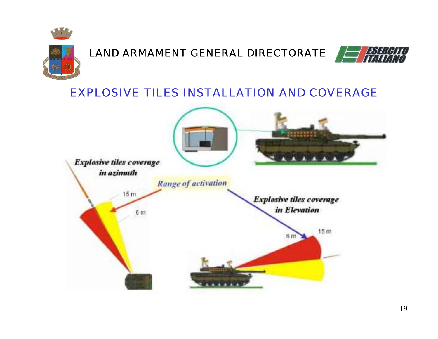



### *EXPLOSIVE TILES INSTALLATION AND COVERAGE*

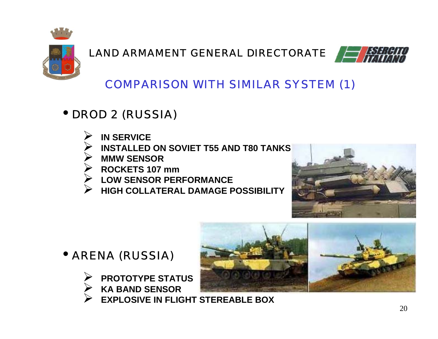



# *COMPARISON WITH SIMILAR SYSTEM (1)*

# • *DROD 2 (RUSSIA)*

- **IN SERVICE**
- **INSTALLED ON SOVIET T55 AND T80 TANKS**
- **MMW SENSOR**
- **ROCKETS 107 mm**
- **LOW SENSOR PERFORMANCE**
- **HIGH COLLATERAL DAMAGE POSSIBILITY**



# • *ARENA (RUSSIA)*

- **PROTOTYPE STATUS KA BAND SENSOR**
	-

 **EXPLOSIVE IN FLIGHT STEREABLE BOX**

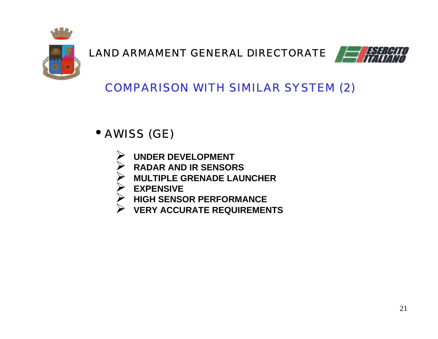



# *COMPARISON WITH SIMILAR SYSTEM (2)*

# • *AWISS (GE)*

- **UNDER DEVELOPMENT**
- **RADAR AND IR SENSORS**
- **MULTIPLE GRENADE LAUNCHER**
- **EXPENSIVE**
- **HIGH SENSOR PERFORMANCE**
- **VERY ACCURATE REQUIREMENTS**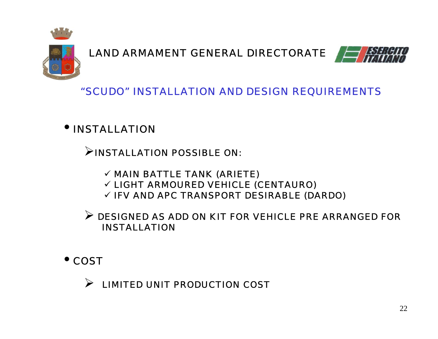



*"SCUDO" INSTALLATION AND DESIGN REQUIREMENTS*

• *INSTALLATION*

 $\triangleright$  INSTALLATION POSSIBLE ON:

- $\checkmark$  MAIN BATTLE TANK (ARIETE)
- $\checkmark$  LIGHT ARMOURED VEHICLE (CENTAURO)
- $\checkmark$  IFV AND APC TRANSPORT DESIRABLE (DARDO)

 $\triangleright$  DESIGNED AS ADD ON KIT FOR VEHICLE PRE ARRANGED FOR INSTALLATION

• *COST*

 $\blacktriangleright$ LIMITED UNIT PRODUCTION COST